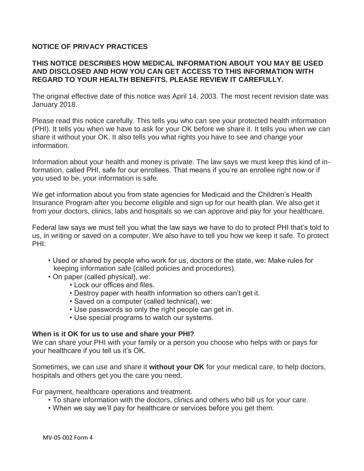# **NOTICE OF PRIVACY PRACTICES**

# **THIS NOTICE DESCRIBES HOW MEDICAL INFORMATION ABOUT YOU MAY BE USED AND DISCLOSED AND HOW YOU CAN GET ACCESS TO THIS INFORMATION WITH REGARD TO YOUR HEALTH BENEFITS. PLEASE REVIEW IT CAREFULLY.**

The original effective date of this notice was April 14, 2003. The most recent revision date was January 2018.

Please read this notice carefully. This tells you who can see your protected health information (PHI). It tells you when we have to ask for your OK before we share it. It tells you when we can share it without your OK. It also tells you what rights you have to see and change your information.

Information about your health and money is private. The law says we must keep this kind of information, called PHI, safe for our enrollees. That means if you're an enrollee right now or if you used to be, your information is safe.

We get information about you from state agencies for Medicaid and the Children's Health Insurance Program after you become eligible and sign up for our health plan. We also get it from your doctors, clinics, labs and hospitals so we can approve and pay for your healthcare.

Federal law says we must tell you what the law says we have to do to protect PHI that's told to us, in writing or saved on a computer. We also have to tell you how we keep it safe. To protect PHI:

- Used or shared by people who work for us, doctors or the state, we: Make rules for keeping information safe (called policies and procedures).
- On paper (called physical), we:
	- Lock our offices and files.
		- Destroy paper with health information so others can't get it.
		- Saved on a computer (called technical), we:
	- Use passwords so only the right people can get in.
	- Use special programs to watch our systems.

#### **When is it OK for us to use and share your PHI?**

We can share your PHI with your family or a person you choose who helps with or pays for your healthcare if you tell us it's OK.

Sometimes, we can use and share it **without your OK** for your medical care, to help doctors, hospitals and others get you the care you need.

For payment, healthcare operations and treatment.

- To share information with the doctors, clinics and others who bill us for your care.
- When we say we'll pay for healthcare or services before you get them.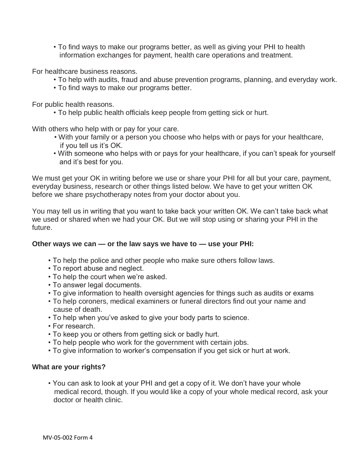• To find ways to make our programs better, as well as giving your PHI to health information exchanges for payment, health care operations and treatment.

For healthcare business reasons.

- To help with audits, fraud and abuse prevention programs, planning, and everyday work.
- To find ways to make our programs better.

For public health reasons.

• To help public health officials keep people from getting sick or hurt.

With others who help with or pay for your care.

- With your family or a person you choose who helps with or pays for your healthcare, if you tell us it's OK.
- With someone who helps with or pays for your healthcare, if you can't speak for yourself and it's best for you.

We must get your OK in writing before we use or share your PHI for all but your care, payment, everyday business, research or other things listed below. We have to get your written OK before we share psychotherapy notes from your doctor about you.

You may tell us in writing that you want to take back your written OK. We can't take back what we used or shared when we had your OK. But we will stop using or sharing your PHI in the future.

## **Other ways we can — or the law says we have to — use your PHI:**

- To help the police and other people who make sure others follow laws.
- To report abuse and neglect.
- To help the court when we're asked.
- To answer legal documents.
- To give information to health oversight agencies for things such as audits or exams
- To help coroners, medical examiners or funeral directors find out your name and cause of death.
- To help when you've asked to give your body parts to science.
- For research.
- To keep you or others from getting sick or badly hurt.
- To help people who work for the government with certain jobs.
- To give information to worker's compensation if you get sick or hurt at work.

#### **What are your rights?**

• You can ask to look at your PHI and get a copy of it. We don't have your whole medical record, though. If you would like a copy of your whole medical record, ask your doctor or health clinic.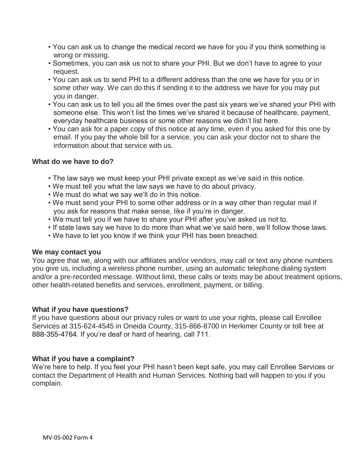- You can ask us to change the medical record we have for you if you think something is wrong or missing.
- Sometimes, you can ask us not to share your PHI. But we don't have to agree to your request.
- You can ask us to send PHI to a different address than the one we have for you or in some other way. We can do this if sending it to the address we have for you may put you in danger.
- You can ask us to tell you all the times over the past six years we've shared your PHI with someone else. This won't list the times we've shared it because of healthcare, payment, everyday healthcare business or some other reasons we didn't list here.
- You can ask for a paper copy of this notice at any time, even if you asked for this one by email. If you pay the whole bill for a service, you can ask your doctor not to share the information about that service with us.

## **What do we have to do?**

- The law says we must keep your PHI private except as we've said in this notice.
- We must tell you what the law says we have to do about privacy.
- We must do what we say we'll do in this notice.
- We must send your PHI to some other address or in a way other than regular mail if you ask for reasons that make sense, like if you're in danger.
- We must tell you if we have to share your PHI after you've asked us not to.
- If state laws say we have to do more than what we've said here, we'll follow those laws.
- We have to let you know if we think your PHI has been breached.

## **We may contact you**

You agree that we, along with our affiliates and/or vendors, may call or text any phone numbers you give us, including a wireless phone number, using an automatic telephone dialing system and/or a pre-recorded message. Without limit, these calls or texts may be about treatment options, other health-related benefits and services, enrollment, payment, or billing.

## **What if you have questions?**

If you have questions about our privacy rules or want to use your rights, please call Enrollee Services at 315-624-4545 in Oneida County, 315-866-8700 in Herkimer County or toll free at 888-355-4764. If you're deaf or hard of hearing, call 711.

## **What if you have a complaint?**

We're here to help. If you feel your PHI hasn't been kept safe, you may call Enrollee Services or contact the Department of Health and Human Services. Nothing bad will happen to you if you complain.